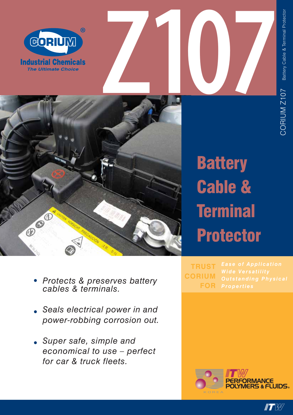





## **Battery** Cable & **Terminal** Protector

**TRUST CORIUM FOR**

PERFORMANCE<br>POLYMERS & FLUIDS。

- *• Protects & preserves battery cables & terminals.*
- *• Seals electrical power in and power-robbing corrosion out.*
- *• Super safe, simple and economical to use – perfect for car & truck fleets.*